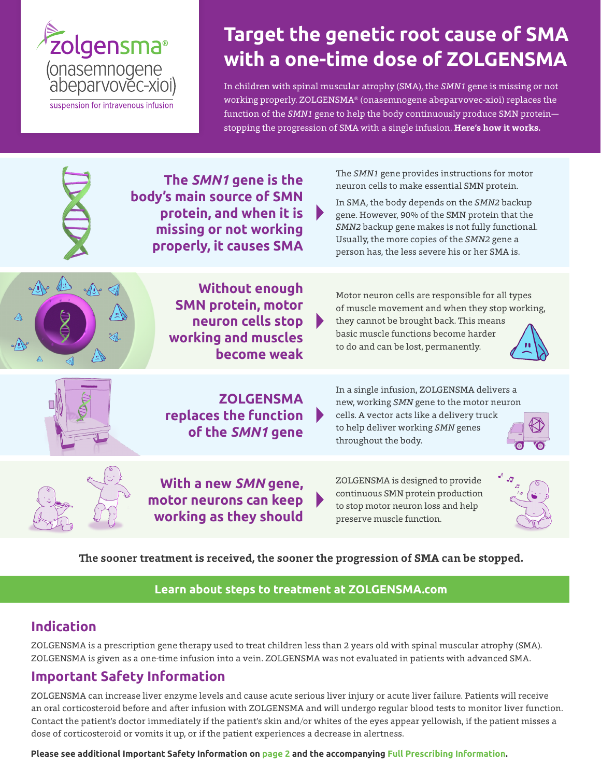

# **Target the genetic root cause of SMA with a one-time dose of ZOLGENSMA**

In children with spinal muscular atrophy (SMA), the *SMN1* gene is missing or not working properly. ZOLGENSMA® (onasemnogene abeparvovec-xioi) replaces the function of the *SMN1* gene to help the body continuously produce SMN protein stopping the progression of SMA with a single infusion. **Here's how it works.**

|                                | The SMN1 gene is the<br>body's main source of SMN<br>protein, and when it is<br>missing or not working<br>properly, it causes SMA | Þ | The SMN1 gene provides instructions for motor<br>neuron cells to make essential SMN protein.<br>In SMA, the body depends on the SMN2 backup<br>gene. However, 90% of the SMN protein that the<br>SMN2 backup gene makes is not fully functional.<br>Usually, the more copies of the SMN2 gene a<br>person has, the less severe his or her SMA is. |
|--------------------------------|-----------------------------------------------------------------------------------------------------------------------------------|---|---------------------------------------------------------------------------------------------------------------------------------------------------------------------------------------------------------------------------------------------------------------------------------------------------------------------------------------------------|
| ص\ال/⊅<br>$\sqrt{\frac{1}{2}}$ | <b>Without enough</b><br><b>SMN protein, motor</b><br>neuron cells stop<br>working and muscles<br>become weak                     |   | Motor neuron cells are responsible for all types<br>of muscle movement and when they stop working,<br>they cannot be brought back. This means<br>basic muscle functions become harder<br>to do and can be lost, permanently.                                                                                                                      |
|                                | <b>ZOLGENSMA</b><br>replaces the function<br>of the SMN1 gene                                                                     |   | In a single infusion, ZOLGENSMA delivers a<br>new, working SMN gene to the motor neuron<br>cells. A vector acts like a delivery truck<br>to help deliver working SMN genes<br>throughout the body.                                                                                                                                                |
|                                | With a new SMN gene,<br>motor neurons can keep<br>working as they should                                                          |   | ZOLGENSMA is designed to provide<br>continuous SMN protein production<br>to stop motor neuron loss and help<br>preserve muscle function.                                                                                                                                                                                                          |

### **The sooner treatment is received, the sooner the progression of SMA can be stopped.**

## **[Learn about steps to treatment at ZOLGENSMA.com](https://www.zolgensma.com/starting-zolgensma)**

## **Indication**

ZOLGENSMA is a prescription gene therapy used to treat children less than 2 years old with spinal muscular atrophy (SMA). ZOLGENSMA is given as a one-time infusion into a vein. ZOLGENSMA was not evaluated in patients with advanced SMA.

# **Important Safety Information**

ZOLGENSMA can increase liver enzyme levels and cause acute serious liver injury or acute liver failure. Patients will receive an oral corticosteroid before and after infusion with ZOLGENSMA and will undergo regular blood tests to monitor liver function. Contact the patient's doctor immediately if the patient's skin and/or whites of the eyes appear yellowish, if the patient misses a dose of corticosteroid or vomits it up, or if the patient experiences a decrease in alertness.

**Please see additional Important Safety Information on [page 2 a](#page-1-0)nd the accompanying [Full Prescribing Information](https://www.novartis.us/sites/www.novartis.us/files/zolgensma.pdf).**